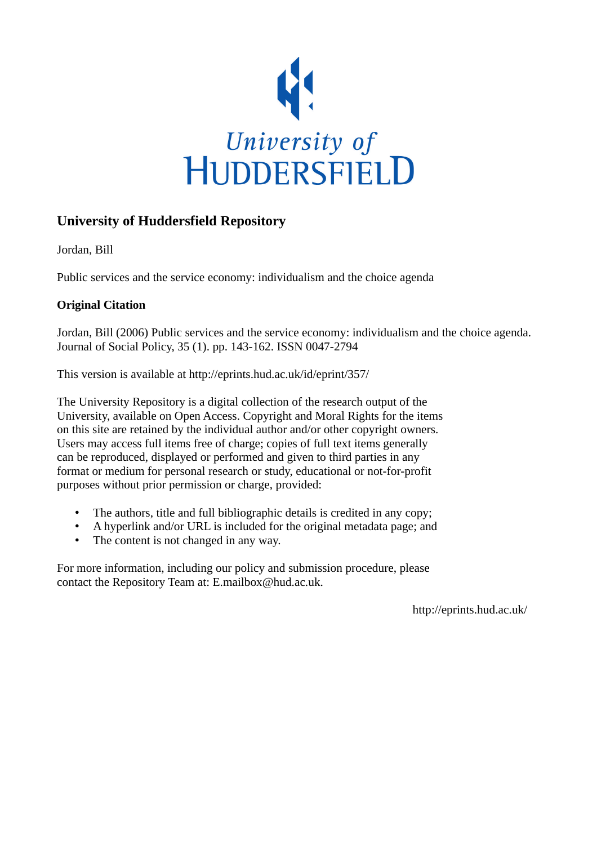

## **University of Huddersfield Repository**

Jordan, Bill

Public services and the service economy: individualism and the choice agenda

### **Original Citation**

Jordan, Bill (2006) Public services and the service economy: individualism and the choice agenda. Journal of Social Policy, 35 (1). pp. 143-162. ISSN 0047-2794

This version is available at http://eprints.hud.ac.uk/id/eprint/357/

The University Repository is a digital collection of the research output of the University, available on Open Access. Copyright and Moral Rights for the items on this site are retained by the individual author and/or other copyright owners. Users may access full items free of charge; copies of full text items generally can be reproduced, displayed or performed and given to third parties in any format or medium for personal research or study, educational or not-for-profit purposes without prior permission or charge, provided:

- The authors, title and full bibliographic details is credited in any copy;
- A hyperlink and/or URL is included for the original metadata page; and
- The content is not changed in any way.

For more information, including our policy and submission procedure, please contact the Repository Team at: E.mailbox@hud.ac.uk.

http://eprints.hud.ac.uk/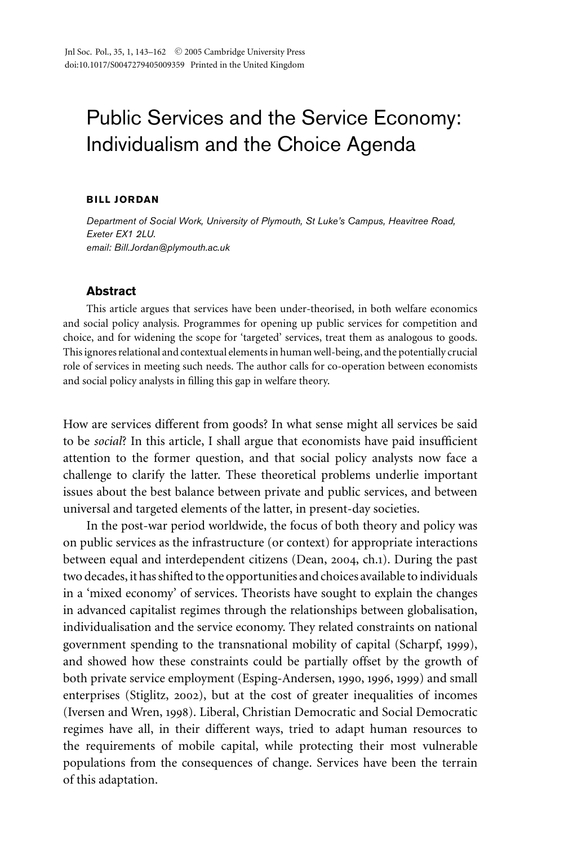# Public Services and the Service Economy: Individualism and the Choice Agenda

#### **BILL JORDAN**

*Department of Social Work, University of Plymouth, St Luke's Campus, Heavitree Road, Exeter EX1 2LU. email: Bill.Jordan@plymouth.ac.uk*

#### **Abstract**

This article argues that services have been under-theorised, in both welfare economics and social policy analysis. Programmes for opening up public services for competition and choice, and for widening the scope for 'targeted' services, treat them as analogous to goods. This ignores relational and contextual elements in human well-being, and the potentially crucial role of services in meeting such needs. The author calls for co-operation between economists and social policy analysts in filling this gap in welfare theory.

How are services different from goods? In what sense might all services be said to be *social*? In this article, I shall argue that economists have paid insufficient attention to the former question, and that social policy analysts now face a challenge to clarify the latter. These theoretical problems underlie important issues about the best balance between private and public services, and between universal and targeted elements of the latter, in present-day societies.

In the post-war period worldwide, the focus of both theory and policy was on public services as the infrastructure (or context) for appropriate interactions between equal and interdependent citizens (Dean, 2004, ch.1). During the past two decades, it has shifted to the opportunities and choices available to individuals in a 'mixed economy' of services. Theorists have sought to explain the changes in advanced capitalist regimes through the relationships between globalisation, individualisation and the service economy. They related constraints on national government spending to the transnational mobility of capital (Scharpf, 1999), and showed how these constraints could be partially offset by the growth of both private service employment (Esping-Andersen, 1990, 1996, 1999) and small enterprises (Stiglitz, 2002), but at the cost of greater inequalities of incomes (Iversen and Wren, 1998). Liberal, Christian Democratic and Social Democratic regimes have all, in their different ways, tried to adapt human resources to the requirements of mobile capital, while protecting their most vulnerable populations from the consequences of change. Services have been the terrain of this adaptation.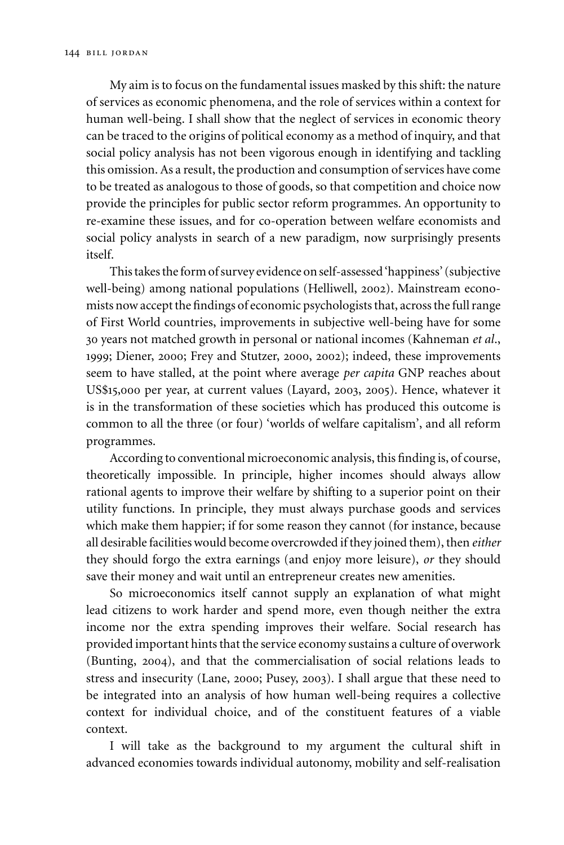My aim is to focus on the fundamental issues masked by this shift: the nature of services as economic phenomena, and the role of services within a context for human well-being. I shall show that the neglect of services in economic theory can be traced to the origins of political economy as a method of inquiry, and that social policy analysis has not been vigorous enough in identifying and tackling this omission. As a result, the production and consumption of services have come to be treated as analogous to those of goods, so that competition and choice now provide the principles for public sector reform programmes. An opportunity to re-examine these issues, and for co-operation between welfare economists and social policy analysts in search of a new paradigm, now surprisingly presents itself.

This takes the form of survey evidence on self-assessed 'happiness' (subjective well-being) among national populations (Helliwell, 2002). Mainstream economists now accept the findings of economic psychologists that, across the full range of First World countries, improvements in subjective well-being have for some 30 years not matched growth in personal or national incomes (Kahneman *et al*., 1999; Diener, 2000; Frey and Stutzer, 2000, 2002); indeed, these improvements seem to have stalled, at the point where average *per capita* GNP reaches about US\$15,000 per year, at current values (Layard, 2003, 2005). Hence, whatever it is in the transformation of these societies which has produced this outcome is common to all the three (or four) 'worlds of welfare capitalism', and all reform programmes.

According to conventional microeconomic analysis, this finding is, of course, theoretically impossible. In principle, higher incomes should always allow rational agents to improve their welfare by shifting to a superior point on their utility functions. In principle, they must always purchase goods and services which make them happier; if for some reason they cannot (for instance, because all desirable facilities would become overcrowded if they joined them), then *either* they should forgo the extra earnings (and enjoy more leisure), *or* they should save their money and wait until an entrepreneur creates new amenities.

So microeconomics itself cannot supply an explanation of what might lead citizens to work harder and spend more, even though neither the extra income nor the extra spending improves their welfare. Social research has provided important hints that the service economy sustains a culture of overwork (Bunting, 2004), and that the commercialisation of social relations leads to stress and insecurity (Lane, 2000; Pusey, 2003). I shall argue that these need to be integrated into an analysis of how human well-being requires a collective context for individual choice, and of the constituent features of a viable context.

I will take as the background to my argument the cultural shift in advanced economies towards individual autonomy, mobility and self-realisation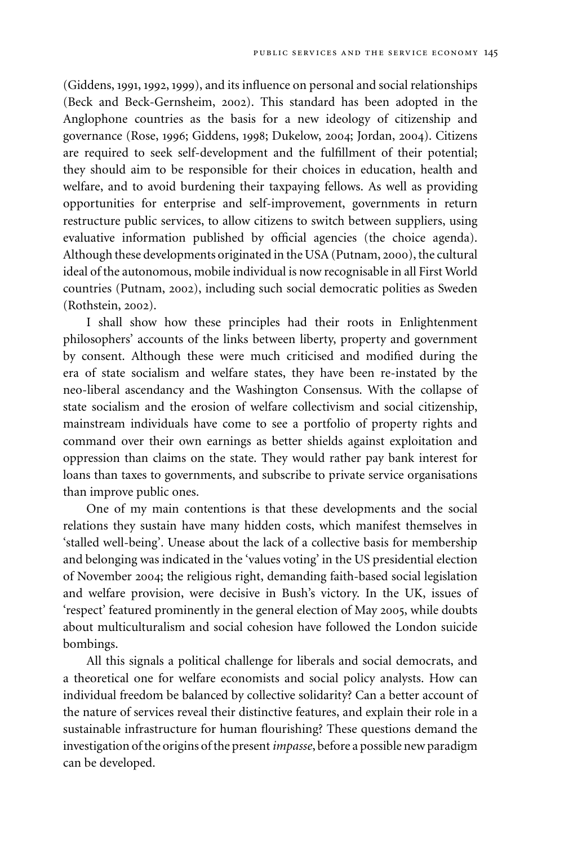(Giddens, 1991, 1992, 1999), and its influence on personal and social relationships (Beck and Beck-Gernsheim, 2002). This standard has been adopted in the Anglophone countries as the basis for a new ideology of citizenship and governance (Rose, 1996; Giddens, 1998; Dukelow, 2004; Jordan, 2004). Citizens are required to seek self-development and the fulfillment of their potential; they should aim to be responsible for their choices in education, health and welfare, and to avoid burdening their taxpaying fellows. As well as providing opportunities for enterprise and self-improvement, governments in return restructure public services, to allow citizens to switch between suppliers, using evaluative information published by official agencies (the choice agenda). Although these developments originated in the USA (Putnam, 2000), the cultural ideal of the autonomous, mobile individual is now recognisable in all First World countries (Putnam, 2002), including such social democratic polities as Sweden (Rothstein, 2002).

I shall show how these principles had their roots in Enlightenment philosophers' accounts of the links between liberty, property and government by consent. Although these were much criticised and modified during the era of state socialism and welfare states, they have been re-instated by the neo-liberal ascendancy and the Washington Consensus. With the collapse of state socialism and the erosion of welfare collectivism and social citizenship, mainstream individuals have come to see a portfolio of property rights and command over their own earnings as better shields against exploitation and oppression than claims on the state. They would rather pay bank interest for loans than taxes to governments, and subscribe to private service organisations than improve public ones.

One of my main contentions is that these developments and the social relations they sustain have many hidden costs, which manifest themselves in 'stalled well-being'. Unease about the lack of a collective basis for membership and belonging was indicated in the 'values voting' in the US presidential election of November 2004; the religious right, demanding faith-based social legislation and welfare provision, were decisive in Bush's victory. In the UK, issues of 'respect' featured prominently in the general election of May 2005, while doubts about multiculturalism and social cohesion have followed the London suicide bombings.

All this signals a political challenge for liberals and social democrats, and a theoretical one for welfare economists and social policy analysts. How can individual freedom be balanced by collective solidarity? Can a better account of the nature of services reveal their distinctive features, and explain their role in a sustainable infrastructure for human flourishing? These questions demand the investigation of the origins of the present *impasse*, before a possible new paradigm can be developed.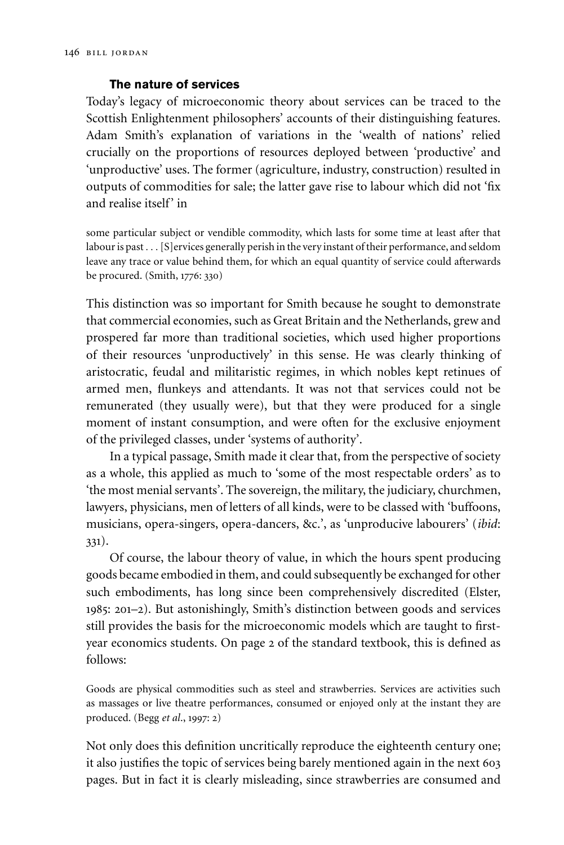#### **The nature of services**

Today's legacy of microeconomic theory about services can be traced to the Scottish Enlightenment philosophers' accounts of their distinguishing features. Adam Smith's explanation of variations in the 'wealth of nations' relied crucially on the proportions of resources deployed between 'productive' and 'unproductive' uses. The former (agriculture, industry, construction) resulted in outputs of commodities for sale; the latter gave rise to labour which did not 'fix and realise itself' in

some particular subject or vendible commodity, which lasts for some time at least after that labour is past . . . [S] ervices generally perish in the very instant of their performance, and seldom leave any trace or value behind them, for which an equal quantity of service could afterwards be procured. (Smith, 1776: 330)

This distinction was so important for Smith because he sought to demonstrate that commercial economies, such as Great Britain and the Netherlands, grew and prospered far more than traditional societies, which used higher proportions of their resources 'unproductively' in this sense. He was clearly thinking of aristocratic, feudal and militaristic regimes, in which nobles kept retinues of armed men, flunkeys and attendants. It was not that services could not be remunerated (they usually were), but that they were produced for a single moment of instant consumption, and were often for the exclusive enjoyment of the privileged classes, under 'systems of authority'.

In a typical passage, Smith made it clear that, from the perspective of society as a whole, this applied as much to 'some of the most respectable orders' as to 'the most menial servants'. The sovereign, the military, the judiciary, churchmen, lawyers, physicians, men of letters of all kinds, were to be classed with 'buffoons, musicians, opera-singers, opera-dancers, &c.', as 'unproducive labourers' (*ibid*: 331).

Of course, the labour theory of value, in which the hours spent producing goods became embodied in them, and could subsequently be exchanged for other such embodiments, has long since been comprehensively discredited (Elster, 1985: 201–2). But astonishingly, Smith's distinction between goods and services still provides the basis for the microeconomic models which are taught to firstyear economics students. On page 2 of the standard textbook, this is defined as follows:

Goods are physical commodities such as steel and strawberries. Services are activities such as massages or live theatre performances, consumed or enjoyed only at the instant they are produced. (Begg *et al*., 1997: 2)

Not only does this definition uncritically reproduce the eighteenth century one; it also justifies the topic of services being barely mentioned again in the next 603 pages. But in fact it is clearly misleading, since strawberries are consumed and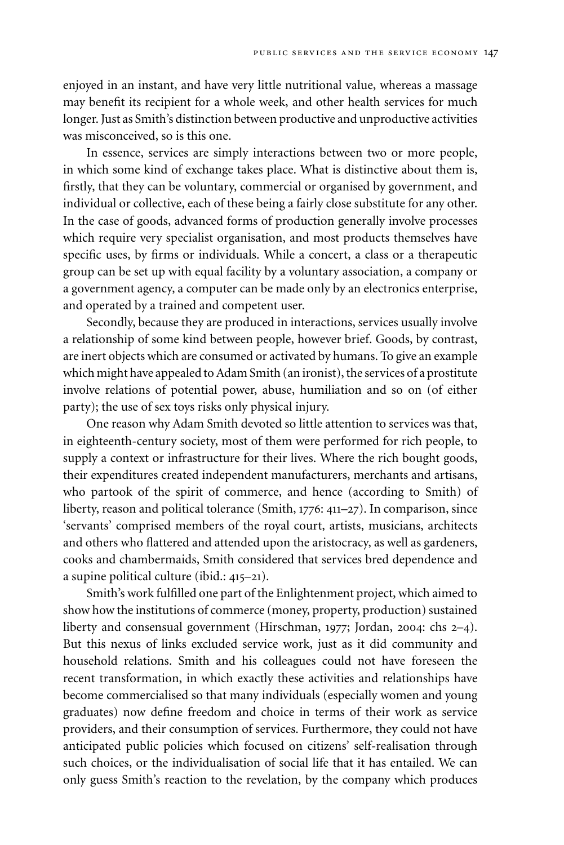enjoyed in an instant, and have very little nutritional value, whereas a massage may benefit its recipient for a whole week, and other health services for much longer. Just as Smith's distinction between productive and unproductive activities was misconceived, so is this one.

In essence, services are simply interactions between two or more people, in which some kind of exchange takes place. What is distinctive about them is, firstly, that they can be voluntary, commercial or organised by government, and individual or collective, each of these being a fairly close substitute for any other. In the case of goods, advanced forms of production generally involve processes which require very specialist organisation, and most products themselves have specific uses, by firms or individuals. While a concert, a class or a therapeutic group can be set up with equal facility by a voluntary association, a company or a government agency, a computer can be made only by an electronics enterprise, and operated by a trained and competent user.

Secondly, because they are produced in interactions, services usually involve a relationship of some kind between people, however brief. Goods, by contrast, are inert objects which are consumed or activated by humans. To give an example which might have appealed to Adam Smith (an ironist), the services of a prostitute involve relations of potential power, abuse, humiliation and so on (of either party); the use of sex toys risks only physical injury.

One reason why Adam Smith devoted so little attention to services was that, in eighteenth-century society, most of them were performed for rich people, to supply a context or infrastructure for their lives. Where the rich bought goods, their expenditures created independent manufacturers, merchants and artisans, who partook of the spirit of commerce, and hence (according to Smith) of liberty, reason and political tolerance (Smith, 1776: 411–27). In comparison, since 'servants' comprised members of the royal court, artists, musicians, architects and others who flattered and attended upon the aristocracy, as well as gardeners, cooks and chambermaids, Smith considered that services bred dependence and a supine political culture (ibid.: 415–21).

Smith's work fulfilled one part of the Enlightenment project, which aimed to show how the institutions of commerce (money, property, production) sustained liberty and consensual government (Hirschman, 1977; Jordan, 2004: chs 2–4). But this nexus of links excluded service work, just as it did community and household relations. Smith and his colleagues could not have foreseen the recent transformation, in which exactly these activities and relationships have become commercialised so that many individuals (especially women and young graduates) now define freedom and choice in terms of their work as service providers, and their consumption of services. Furthermore, they could not have anticipated public policies which focused on citizens' self-realisation through such choices, or the individualisation of social life that it has entailed. We can only guess Smith's reaction to the revelation, by the company which produces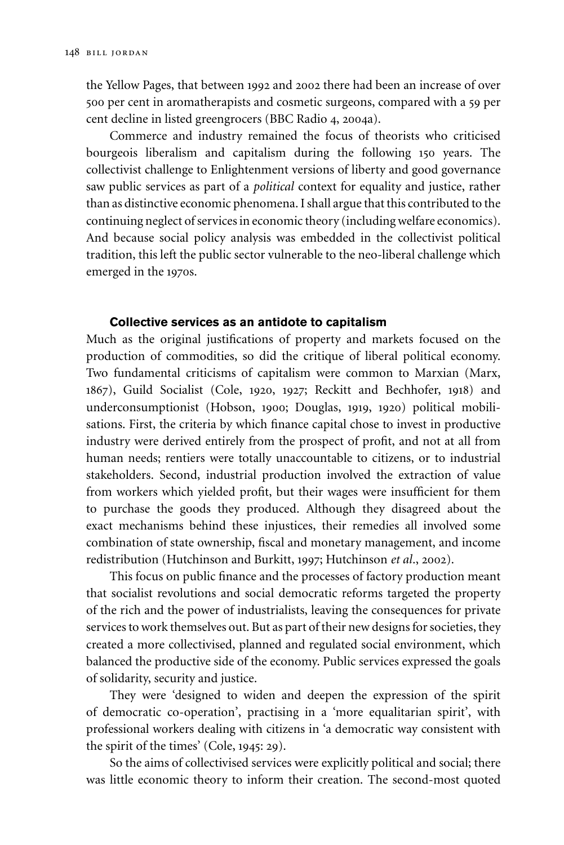the Yellow Pages, that between 1992 and 2002 there had been an increase of over 500 per cent in aromatherapists and cosmetic surgeons, compared with a 59 per cent decline in listed greengrocers (BBC Radio 4, 2004a).

Commerce and industry remained the focus of theorists who criticised bourgeois liberalism and capitalism during the following 150 years. The collectivist challenge to Enlightenment versions of liberty and good governance saw public services as part of a *political* context for equality and justice, rather than as distinctive economic phenomena. I shall argue that this contributed to the continuing neglect of services in economic theory (including welfare economics). And because social policy analysis was embedded in the collectivist political tradition, this left the public sector vulnerable to the neo-liberal challenge which emerged in the 1970s.

#### **Collective services as an antidote to capitalism**

Much as the original justifications of property and markets focused on the production of commodities, so did the critique of liberal political economy. Two fundamental criticisms of capitalism were common to Marxian (Marx, 1867), Guild Socialist (Cole, 1920, 1927; Reckitt and Bechhofer, 1918) and underconsumptionist (Hobson, 1900; Douglas, 1919, 1920) political mobilisations. First, the criteria by which finance capital chose to invest in productive industry were derived entirely from the prospect of profit, and not at all from human needs; rentiers were totally unaccountable to citizens, or to industrial stakeholders. Second, industrial production involved the extraction of value from workers which yielded profit, but their wages were insufficient for them to purchase the goods they produced. Although they disagreed about the exact mechanisms behind these injustices, their remedies all involved some combination of state ownership, fiscal and monetary management, and income redistribution (Hutchinson and Burkitt, 1997; Hutchinson *et al*., 2002).

This focus on public finance and the processes of factory production meant that socialist revolutions and social democratic reforms targeted the property of the rich and the power of industrialists, leaving the consequences for private services to work themselves out. But as part of their new designs for societies, they created a more collectivised, planned and regulated social environment, which balanced the productive side of the economy. Public services expressed the goals of solidarity, security and justice.

They were 'designed to widen and deepen the expression of the spirit of democratic co-operation', practising in a 'more equalitarian spirit', with professional workers dealing with citizens in 'a democratic way consistent with the spirit of the times' (Cole, 1945: 29).

So the aims of collectivised services were explicitly political and social; there was little economic theory to inform their creation. The second-most quoted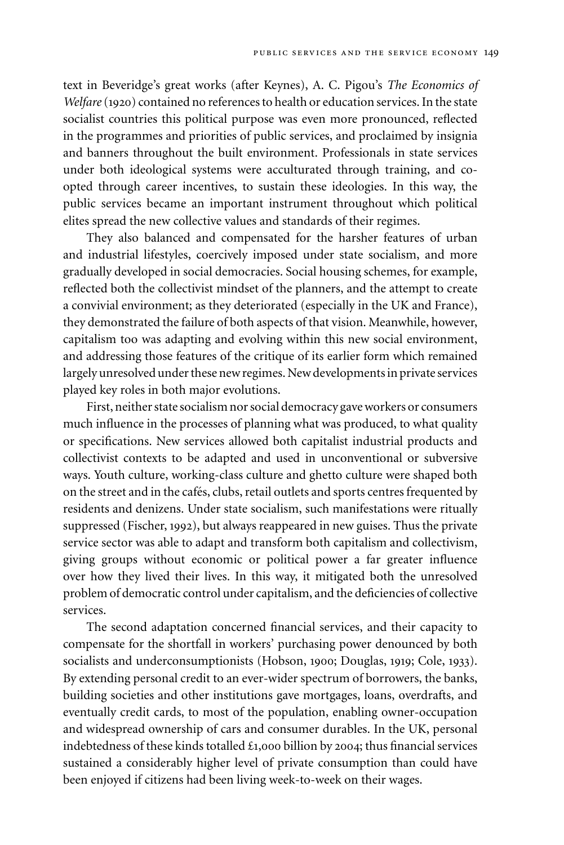text in Beveridge's great works (after Keynes), A. C. Pigou's *The Economics of Welfare* (1920) contained no references to health or education services. In the state socialist countries this political purpose was even more pronounced, reflected in the programmes and priorities of public services, and proclaimed by insignia and banners throughout the built environment. Professionals in state services under both ideological systems were acculturated through training, and coopted through career incentives, to sustain these ideologies. In this way, the public services became an important instrument throughout which political elites spread the new collective values and standards of their regimes.

They also balanced and compensated for the harsher features of urban and industrial lifestyles, coercively imposed under state socialism, and more gradually developed in social democracies. Social housing schemes, for example, reflected both the collectivist mindset of the planners, and the attempt to create a convivial environment; as they deteriorated (especially in the UK and France), they demonstrated the failure of both aspects of that vision. Meanwhile, however, capitalism too was adapting and evolving within this new social environment, and addressing those features of the critique of its earlier form which remained largely unresolved under these new regimes. New developments in private services played key roles in both major evolutions.

First, neither state socialism nor social democracy gave workers or consumers much influence in the processes of planning what was produced, to what quality or specifications. New services allowed both capitalist industrial products and collectivist contexts to be adapted and used in unconventional or subversive ways. Youth culture, working-class culture and ghetto culture were shaped both on the street and in the cafes, clubs, retail outlets and sports centres frequented by ´ residents and denizens. Under state socialism, such manifestations were ritually suppressed (Fischer, 1992), but always reappeared in new guises. Thus the private service sector was able to adapt and transform both capitalism and collectivism, giving groups without economic or political power a far greater influence over how they lived their lives. In this way, it mitigated both the unresolved problem of democratic control under capitalism, and the deficiencies of collective services.

The second adaptation concerned financial services, and their capacity to compensate for the shortfall in workers' purchasing power denounced by both socialists and underconsumptionists (Hobson, 1900; Douglas, 1919; Cole, 1933). By extending personal credit to an ever-wider spectrum of borrowers, the banks, building societies and other institutions gave mortgages, loans, overdrafts, and eventually credit cards, to most of the population, enabling owner-occupation and widespread ownership of cars and consumer durables. In the UK, personal indebtedness of these kinds totalled £1,000 billion by 2004; thus financial services sustained a considerably higher level of private consumption than could have been enjoyed if citizens had been living week-to-week on their wages.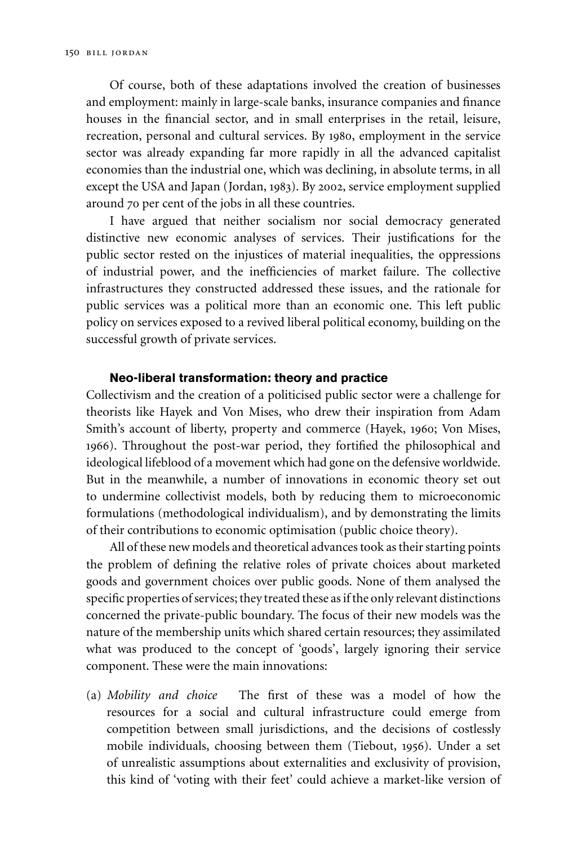Of course, both of these adaptations involved the creation of businesses and employment: mainly in large-scale banks, insurance companies and finance houses in the financial sector, and in small enterprises in the retail, leisure, recreation, personal and cultural services. By 1980, employment in the service sector was already expanding far more rapidly in all the advanced capitalist economies than the industrial one, which was declining, in absolute terms, in all except the USA and Japan (Jordan, 1983). By 2002, service employment supplied around 70 per cent of the jobs in all these countries.

I have argued that neither socialism nor social democracy generated distinctive new economic analyses of services. Their justifications for the public sector rested on the injustices of material inequalities, the oppressions of industrial power, and the inefficiencies of market failure. The collective infrastructures they constructed addressed these issues, and the rationale for public services was a political more than an economic one. This left public policy on services exposed to a revived liberal political economy, building on the successful growth of private services.

#### **Neo-liberal transformation: theory and practice**

Collectivism and the creation of a politicised public sector were a challenge for theorists like Hayek and Von Mises, who drew their inspiration from Adam Smith's account of liberty, property and commerce (Hayek, 1960; Von Mises, 1966). Throughout the post-war period, they fortified the philosophical and ideological lifeblood of a movement which had gone on the defensive worldwide. But in the meanwhile, a number of innovations in economic theory set out to undermine collectivist models, both by reducing them to microeconomic formulations (methodological individualism), and by demonstrating the limits of their contributions to economic optimisation (public choice theory).

All of these new models and theoretical advances took as their starting points the problem of defining the relative roles of private choices about marketed goods and government choices over public goods. None of them analysed the specific properties of services; they treated these as if the only relevant distinctions concerned the private-public boundary. The focus of their new models was the nature of the membership units which shared certain resources; they assimilated what was produced to the concept of 'goods', largely ignoring their service component. These were the main innovations:

(a) *Mobility and choice* The first of these was a model of how the resources for a social and cultural infrastructure could emerge from competition between small jurisdictions, and the decisions of costlessly mobile individuals, choosing between them (Tiebout, 1956). Under a set of unrealistic assumptions about externalities and exclusivity of provision, this kind of 'voting with their feet' could achieve a market-like version of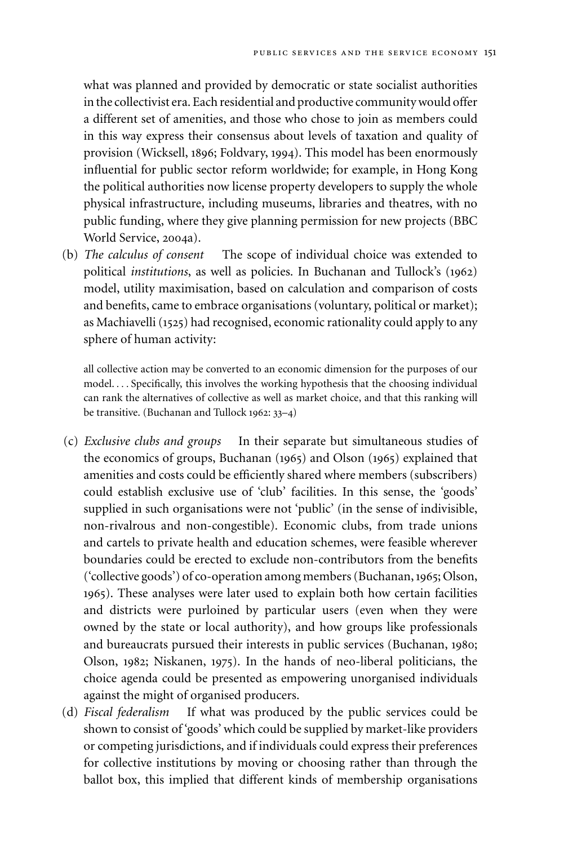what was planned and provided by democratic or state socialist authorities in the collectivist era. Each residential and productive community would offer a different set of amenities, and those who chose to join as members could in this way express their consensus about levels of taxation and quality of provision (Wicksell, 1896; Foldvary, 1994). This model has been enormously influential for public sector reform worldwide; for example, in Hong Kong the political authorities now license property developers to supply the whole physical infrastructure, including museums, libraries and theatres, with no public funding, where they give planning permission for new projects (BBC World Service, 2004a).

(b) *The calculus of consent* The scope of individual choice was extended to political *institutions*, as well as policies. In Buchanan and Tullock's (1962) model, utility maximisation, based on calculation and comparison of costs and benefits, came to embrace organisations (voluntary, political or market); as Machiavelli (1525) had recognised, economic rationality could apply to any sphere of human activity:

all collective action may be converted to an economic dimension for the purposes of our model. *...* Specifically, this involves the working hypothesis that the choosing individual can rank the alternatives of collective as well as market choice, and that this ranking will be transitive. (Buchanan and Tullock 1962: 33–4)

- (c) *Exclusive clubs and groups* In their separate but simultaneous studies of the economics of groups, Buchanan (1965) and Olson (1965) explained that amenities and costs could be efficiently shared where members (subscribers) could establish exclusive use of 'club' facilities. In this sense, the 'goods' supplied in such organisations were not 'public' (in the sense of indivisible, non-rivalrous and non-congestible). Economic clubs, from trade unions and cartels to private health and education schemes, were feasible wherever boundaries could be erected to exclude non-contributors from the benefits ('collective goods') of co-operation among members (Buchanan,1965; Olson, 1965). These analyses were later used to explain both how certain facilities and districts were purloined by particular users (even when they were owned by the state or local authority), and how groups like professionals and bureaucrats pursued their interests in public services (Buchanan, 1980; Olson, 1982; Niskanen, 1975). In the hands of neo-liberal politicians, the choice agenda could be presented as empowering unorganised individuals against the might of organised producers.
- (d) *Fiscal federalism* If what was produced by the public services could be shown to consist of 'goods' which could be supplied by market-like providers or competing jurisdictions, and if individuals could express their preferences for collective institutions by moving or choosing rather than through the ballot box, this implied that different kinds of membership organisations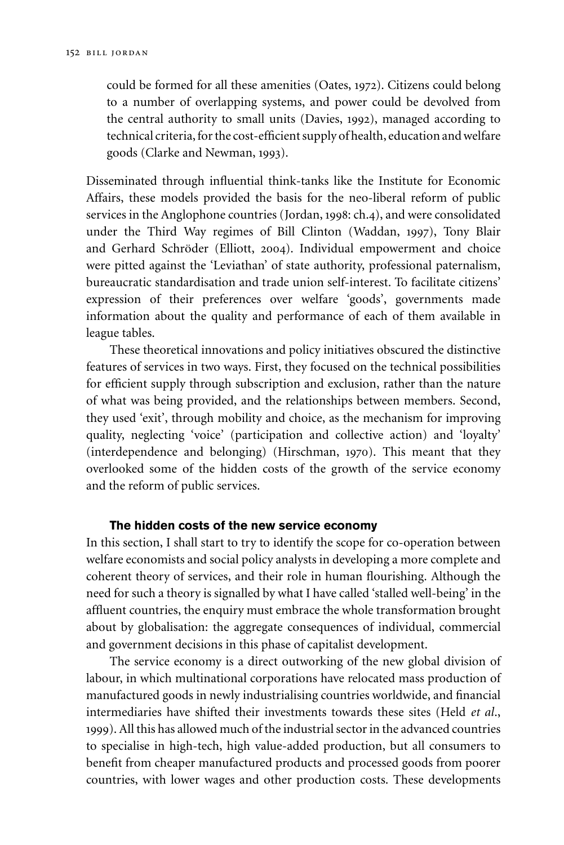could be formed for all these amenities (Oates, 1972). Citizens could belong to a number of overlapping systems, and power could be devolved from the central authority to small units (Davies, 1992), managed according to technical criteria, for the cost-efficient supply of health, education and welfare goods (Clarke and Newman, 1993).

Disseminated through influential think-tanks like the Institute for Economic Affairs, these models provided the basis for the neo-liberal reform of public services in the Anglophone countries (Jordan, 1998: ch.4), and were consolidated under the Third Way regimes of Bill Clinton (Waddan, 1997), Tony Blair and Gerhard Schröder (Elliott, 2004). Individual empowerment and choice were pitted against the 'Leviathan' of state authority, professional paternalism, bureaucratic standardisation and trade union self-interest. To facilitate citizens' expression of their preferences over welfare 'goods', governments made information about the quality and performance of each of them available in league tables.

These theoretical innovations and policy initiatives obscured the distinctive features of services in two ways. First, they focused on the technical possibilities for efficient supply through subscription and exclusion, rather than the nature of what was being provided, and the relationships between members. Second, they used 'exit', through mobility and choice, as the mechanism for improving quality, neglecting 'voice' (participation and collective action) and 'loyalty' (interdependence and belonging) (Hirschman, 1970). This meant that they overlooked some of the hidden costs of the growth of the service economy and the reform of public services.

#### **The hidden costs of the new service economy**

In this section, I shall start to try to identify the scope for co-operation between welfare economists and social policy analysts in developing a more complete and coherent theory of services, and their role in human flourishing. Although the need for such a theory is signalled by what I have called 'stalled well-being' in the affluent countries, the enquiry must embrace the whole transformation brought about by globalisation: the aggregate consequences of individual, commercial and government decisions in this phase of capitalist development.

The service economy is a direct outworking of the new global division of labour, in which multinational corporations have relocated mass production of manufactured goods in newly industrialising countries worldwide, and financial intermediaries have shifted their investments towards these sites (Held *et al*., 1999). All this has allowed much of the industrial sector in the advanced countries to specialise in high-tech, high value-added production, but all consumers to benefit from cheaper manufactured products and processed goods from poorer countries, with lower wages and other production costs. These developments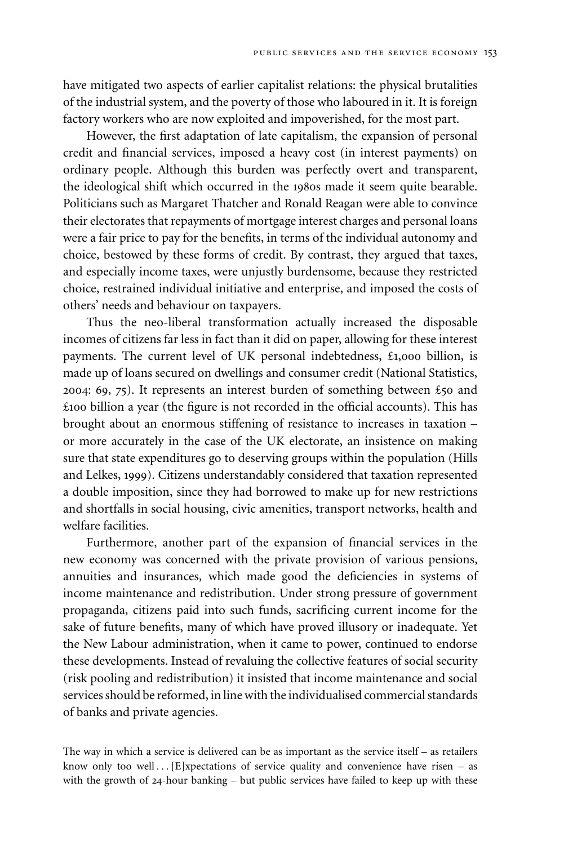have mitigated two aspects of earlier capitalist relations: the physical brutalities of the industrial system, and the poverty of those who laboured in it. It is foreign factory workers who are now exploited and impoverished, for the most part.

However, the first adaptation of late capitalism, the expansion of personal credit and financial services, imposed a heavy cost (in interest payments) on ordinary people. Although this burden was perfectly overt and transparent, the ideological shift which occurred in the 1980s made it seem quite bearable. Politicians such as Margaret Thatcher and Ronald Reagan were able to convince their electorates that repayments of mortgage interest charges and personal loans were a fair price to pay for the benefits, in terms of the individual autonomy and choice, bestowed by these forms of credit. By contrast, they argued that taxes, and especially income taxes, were unjustly burdensome, because they restricted choice, restrained individual initiative and enterprise, and imposed the costs of others' needs and behaviour on taxpayers.

Thus the neo-liberal transformation actually increased the disposable incomes of citizens far less in fact than it did on paper, allowing for these interest payments. The current level of UK personal indebtedness, £1,000 billion, is made up of loans secured on dwellings and consumer credit (National Statistics, 2004: 69, 75). It represents an interest burden of something between £50 and £100 billion a year (the figure is not recorded in the official accounts). This has brought about an enormous stiffening of resistance to increases in taxation – or more accurately in the case of the UK electorate, an insistence on making sure that state expenditures go to deserving groups within the population (Hills and Lelkes, 1999). Citizens understandably considered that taxation represented a double imposition, since they had borrowed to make up for new restrictions and shortfalls in social housing, civic amenities, transport networks, health and welfare facilities.

Furthermore, another part of the expansion of financial services in the new economy was concerned with the private provision of various pensions, annuities and insurances, which made good the deficiencies in systems of income maintenance and redistribution. Under strong pressure of government propaganda, citizens paid into such funds, sacrificing current income for the sake of future benefits, many of which have proved illusory or inadequate. Yet the New Labour administration, when it came to power, continued to endorse these developments. Instead of revaluing the collective features of social security (risk pooling and redistribution) it insisted that income maintenance and social services should be reformed, in line with the individualised commercial standards of banks and private agencies.

The way in which a service is delivered can be as important as the service itself – as retailers know only too well *...*[E]xpectations of service quality and convenience have risen – as with the growth of 24-hour banking – but public services have failed to keep up with these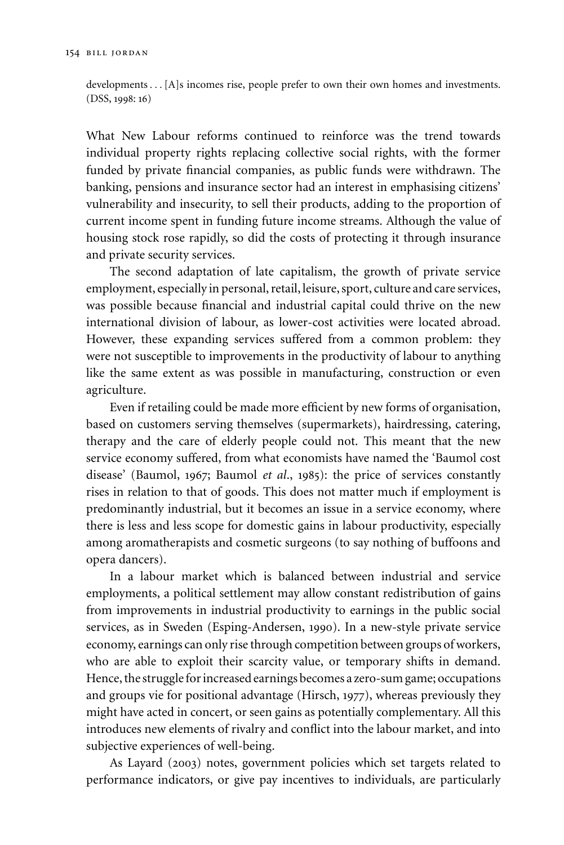developments*...*[A]s incomes rise, people prefer to own their own homes and investments. (DSS, 1998: 16)

What New Labour reforms continued to reinforce was the trend towards individual property rights replacing collective social rights, with the former funded by private financial companies, as public funds were withdrawn. The banking, pensions and insurance sector had an interest in emphasising citizens' vulnerability and insecurity, to sell their products, adding to the proportion of current income spent in funding future income streams. Although the value of housing stock rose rapidly, so did the costs of protecting it through insurance and private security services.

The second adaptation of late capitalism, the growth of private service employment, especially in personal, retail, leisure, sport, culture and care services, was possible because financial and industrial capital could thrive on the new international division of labour, as lower-cost activities were located abroad. However, these expanding services suffered from a common problem: they were not susceptible to improvements in the productivity of labour to anything like the same extent as was possible in manufacturing, construction or even agriculture.

Even if retailing could be made more efficient by new forms of organisation, based on customers serving themselves (supermarkets), hairdressing, catering, therapy and the care of elderly people could not. This meant that the new service economy suffered, from what economists have named the 'Baumol cost disease' (Baumol, 1967; Baumol *et al*., 1985): the price of services constantly rises in relation to that of goods. This does not matter much if employment is predominantly industrial, but it becomes an issue in a service economy, where there is less and less scope for domestic gains in labour productivity, especially among aromatherapists and cosmetic surgeons (to say nothing of buffoons and opera dancers).

In a labour market which is balanced between industrial and service employments, a political settlement may allow constant redistribution of gains from improvements in industrial productivity to earnings in the public social services, as in Sweden (Esping-Andersen, 1990). In a new-style private service economy, earnings can only rise through competition between groups of workers, who are able to exploit their scarcity value, or temporary shifts in demand. Hence, the struggle for increased earnings becomes a zero-sum game; occupations and groups vie for positional advantage (Hirsch, 1977), whereas previously they might have acted in concert, or seen gains as potentially complementary. All this introduces new elements of rivalry and conflict into the labour market, and into subjective experiences of well-being.

As Layard (2003) notes, government policies which set targets related to performance indicators, or give pay incentives to individuals, are particularly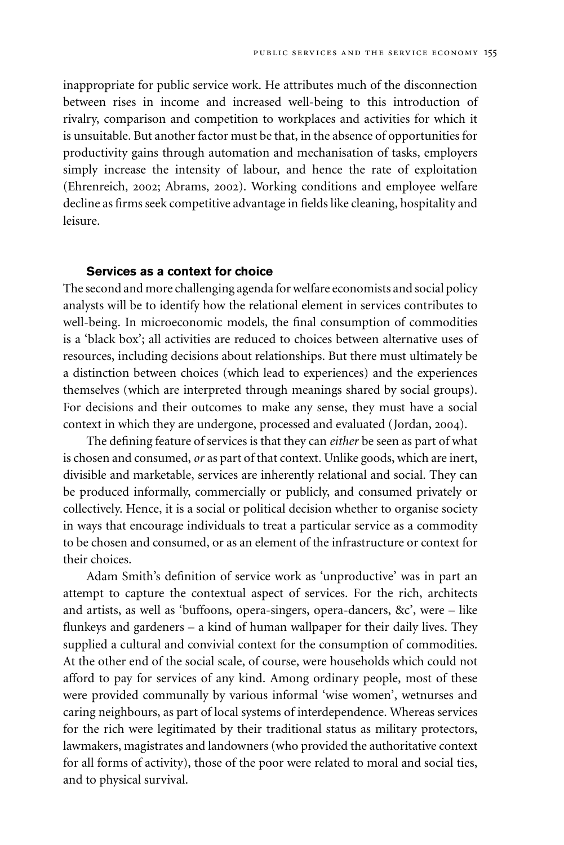inappropriate for public service work. He attributes much of the disconnection between rises in income and increased well-being to this introduction of rivalry, comparison and competition to workplaces and activities for which it is unsuitable. But another factor must be that, in the absence of opportunities for productivity gains through automation and mechanisation of tasks, employers simply increase the intensity of labour, and hence the rate of exploitation (Ehrenreich, 2002; Abrams, 2002). Working conditions and employee welfare decline as firms seek competitive advantage in fields like cleaning, hospitality and leisure.

#### **Services as a context for choice**

The second and more challenging agenda for welfare economists and social policy analysts will be to identify how the relational element in services contributes to well-being. In microeconomic models, the final consumption of commodities is a 'black box'; all activities are reduced to choices between alternative uses of resources, including decisions about relationships. But there must ultimately be a distinction between choices (which lead to experiences) and the experiences themselves (which are interpreted through meanings shared by social groups). For decisions and their outcomes to make any sense, they must have a social context in which they are undergone, processed and evaluated (Jordan, 2004).

The defining feature of services is that they can *either* be seen as part of what is chosen and consumed, *or* as part of that context. Unlike goods, which are inert, divisible and marketable, services are inherently relational and social. They can be produced informally, commercially or publicly, and consumed privately or collectively. Hence, it is a social or political decision whether to organise society in ways that encourage individuals to treat a particular service as a commodity to be chosen and consumed, or as an element of the infrastructure or context for their choices.

Adam Smith's definition of service work as 'unproductive' was in part an attempt to capture the contextual aspect of services. For the rich, architects and artists, as well as 'buffoons, opera-singers, opera-dancers, &c', were – like flunkeys and gardeners – a kind of human wallpaper for their daily lives. They supplied a cultural and convivial context for the consumption of commodities. At the other end of the social scale, of course, were households which could not afford to pay for services of any kind. Among ordinary people, most of these were provided communally by various informal 'wise women', wetnurses and caring neighbours, as part of local systems of interdependence. Whereas services for the rich were legitimated by their traditional status as military protectors, lawmakers, magistrates and landowners (who provided the authoritative context for all forms of activity), those of the poor were related to moral and social ties, and to physical survival.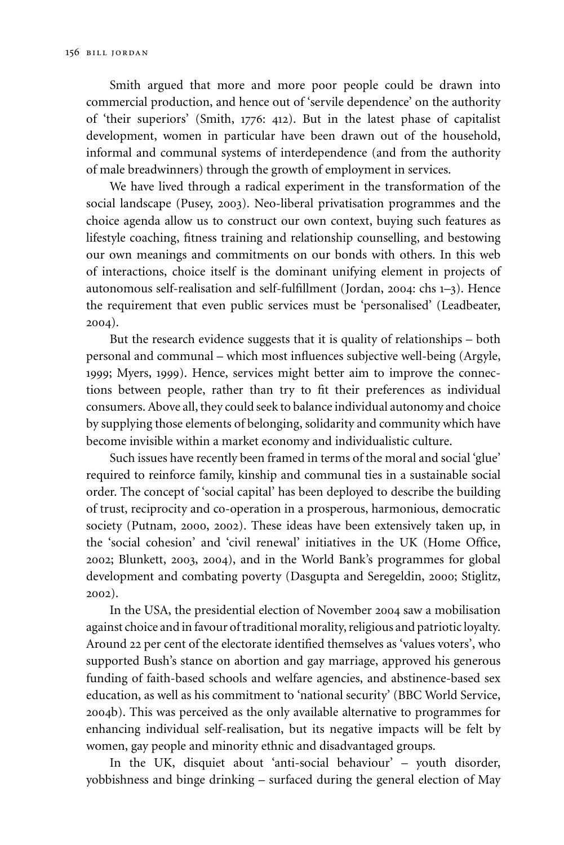Smith argued that more and more poor people could be drawn into commercial production, and hence out of 'servile dependence' on the authority of 'their superiors' (Smith, 1776: 412). But in the latest phase of capitalist development, women in particular have been drawn out of the household, informal and communal systems of interdependence (and from the authority of male breadwinners) through the growth of employment in services.

We have lived through a radical experiment in the transformation of the social landscape (Pusey, 2003). Neo-liberal privatisation programmes and the choice agenda allow us to construct our own context, buying such features as lifestyle coaching, fitness training and relationship counselling, and bestowing our own meanings and commitments on our bonds with others. In this web of interactions, choice itself is the dominant unifying element in projects of autonomous self-realisation and self-fulfillment (Jordan, 2004: chs 1–3). Hence the requirement that even public services must be 'personalised' (Leadbeater, 2004).

But the research evidence suggests that it is quality of relationships – both personal and communal – which most influences subjective well-being (Argyle, 1999; Myers, 1999). Hence, services might better aim to improve the connections between people, rather than try to fit their preferences as individual consumers. Above all, they could seek to balance individual autonomy and choice by supplying those elements of belonging, solidarity and community which have become invisible within a market economy and individualistic culture.

Such issues have recently been framed in terms of the moral and social 'glue' required to reinforce family, kinship and communal ties in a sustainable social order. The concept of 'social capital' has been deployed to describe the building of trust, reciprocity and co-operation in a prosperous, harmonious, democratic society (Putnam, 2000, 2002). These ideas have been extensively taken up, in the 'social cohesion' and 'civil renewal' initiatives in the UK (Home Office, 2002; Blunkett, 2003, 2004), and in the World Bank's programmes for global development and combating poverty (Dasgupta and Seregeldin, 2000; Stiglitz, 2002).

In the USA, the presidential election of November 2004 saw a mobilisation against choice and in favour of traditional morality, religious and patriotic loyalty. Around 22 per cent of the electorate identified themselves as 'values voters', who supported Bush's stance on abortion and gay marriage, approved his generous funding of faith-based schools and welfare agencies, and abstinence-based sex education, as well as his commitment to 'national security' (BBC World Service, 2004b). This was perceived as the only available alternative to programmes for enhancing individual self-realisation, but its negative impacts will be felt by women, gay people and minority ethnic and disadvantaged groups.

In the UK, disquiet about 'anti-social behaviour' – youth disorder, yobbishness and binge drinking – surfaced during the general election of May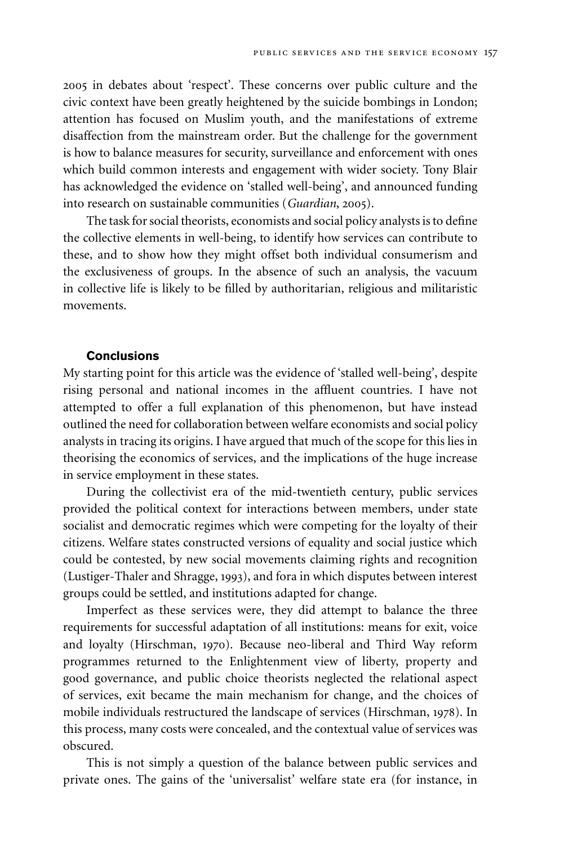2005 in debates about 'respect'. These concerns over public culture and the civic context have been greatly heightened by the suicide bombings in London; attention has focused on Muslim youth, and the manifestations of extreme disaffection from the mainstream order. But the challenge for the government is how to balance measures for security, surveillance and enforcement with ones which build common interests and engagement with wider society. Tony Blair has acknowledged the evidence on 'stalled well-being', and announced funding into research on sustainable communities (*Guardian*, 2005).

The task for social theorists, economists and social policy analysts is to define the collective elements in well-being, to identify how services can contribute to these, and to show how they might offset both individual consumerism and the exclusiveness of groups. In the absence of such an analysis, the vacuum in collective life is likely to be filled by authoritarian, religious and militaristic movements.

#### **Conclusions**

My starting point for this article was the evidence of 'stalled well-being', despite rising personal and national incomes in the affluent countries. I have not attempted to offer a full explanation of this phenomenon, but have instead outlined the need for collaboration between welfare economists and social policy analysts in tracing its origins. I have argued that much of the scope for this lies in theorising the economics of services, and the implications of the huge increase in service employment in these states.

During the collectivist era of the mid-twentieth century, public services provided the political context for interactions between members, under state socialist and democratic regimes which were competing for the loyalty of their citizens. Welfare states constructed versions of equality and social justice which could be contested, by new social movements claiming rights and recognition (Lustiger-Thaler and Shragge, 1993), and fora in which disputes between interest groups could be settled, and institutions adapted for change.

Imperfect as these services were, they did attempt to balance the three requirements for successful adaptation of all institutions: means for exit, voice and loyalty (Hirschman, 1970). Because neo-liberal and Third Way reform programmes returned to the Enlightenment view of liberty, property and good governance, and public choice theorists neglected the relational aspect of services, exit became the main mechanism for change, and the choices of mobile individuals restructured the landscape of services (Hirschman, 1978). In this process, many costs were concealed, and the contextual value of services was obscured.

This is not simply a question of the balance between public services and private ones. The gains of the 'universalist' welfare state era (for instance, in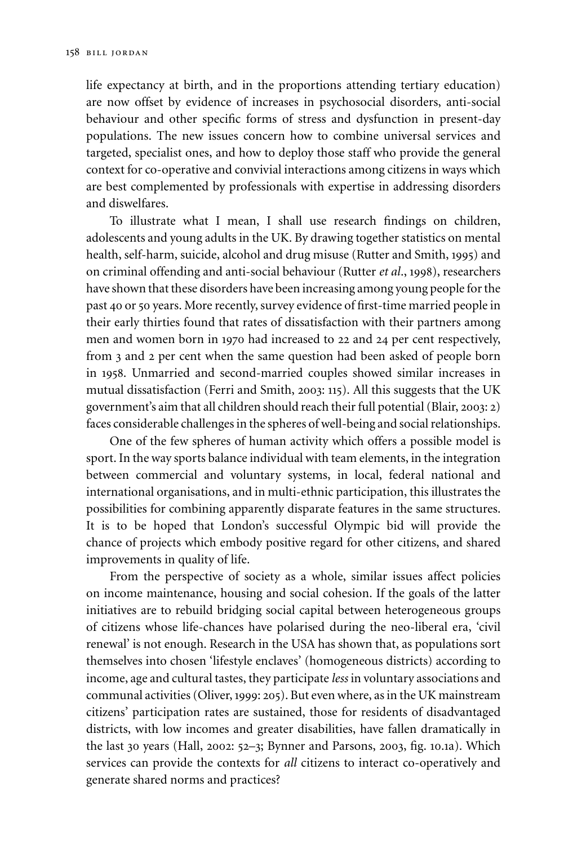life expectancy at birth, and in the proportions attending tertiary education) are now offset by evidence of increases in psychosocial disorders, anti-social behaviour and other specific forms of stress and dysfunction in present-day populations. The new issues concern how to combine universal services and targeted, specialist ones, and how to deploy those staff who provide the general context for co-operative and convivial interactions among citizens in ways which are best complemented by professionals with expertise in addressing disorders and diswelfares.

To illustrate what I mean, I shall use research findings on children, adolescents and young adults in the UK. By drawing together statistics on mental health, self-harm, suicide, alcohol and drug misuse (Rutter and Smith, 1995) and on criminal offending and anti-social behaviour (Rutter *et al*., 1998), researchers have shown that these disorders have been increasing among young people for the past 40 or 50 years. More recently, survey evidence of first-time married people in their early thirties found that rates of dissatisfaction with their partners among men and women born in 1970 had increased to 22 and 24 per cent respectively, from 3 and 2 per cent when the same question had been asked of people born in 1958. Unmarried and second-married couples showed similar increases in mutual dissatisfaction (Ferri and Smith, 2003: 115). All this suggests that the UK government's aim that all children should reach their full potential (Blair, 2003: 2) faces considerable challenges in the spheres of well-being and social relationships.

One of the few spheres of human activity which offers a possible model is sport. In the way sports balance individual with team elements, in the integration between commercial and voluntary systems, in local, federal national and international organisations, and in multi-ethnic participation, this illustrates the possibilities for combining apparently disparate features in the same structures. It is to be hoped that London's successful Olympic bid will provide the chance of projects which embody positive regard for other citizens, and shared improvements in quality of life.

From the perspective of society as a whole, similar issues affect policies on income maintenance, housing and social cohesion. If the goals of the latter initiatives are to rebuild bridging social capital between heterogeneous groups of citizens whose life-chances have polarised during the neo-liberal era, 'civil renewal' is not enough. Research in the USA has shown that, as populations sort themselves into chosen 'lifestyle enclaves' (homogeneous districts) according to income, age and cultural tastes, they participate *less* in voluntary associations and communal activities (Oliver, 1999: 205). But even where, as in the UK mainstream citizens' participation rates are sustained, those for residents of disadvantaged districts, with low incomes and greater disabilities, have fallen dramatically in the last 30 years (Hall, 2002: 52–3; Bynner and Parsons, 2003, fig. 10.1a). Which services can provide the contexts for *all* citizens to interact co-operatively and generate shared norms and practices?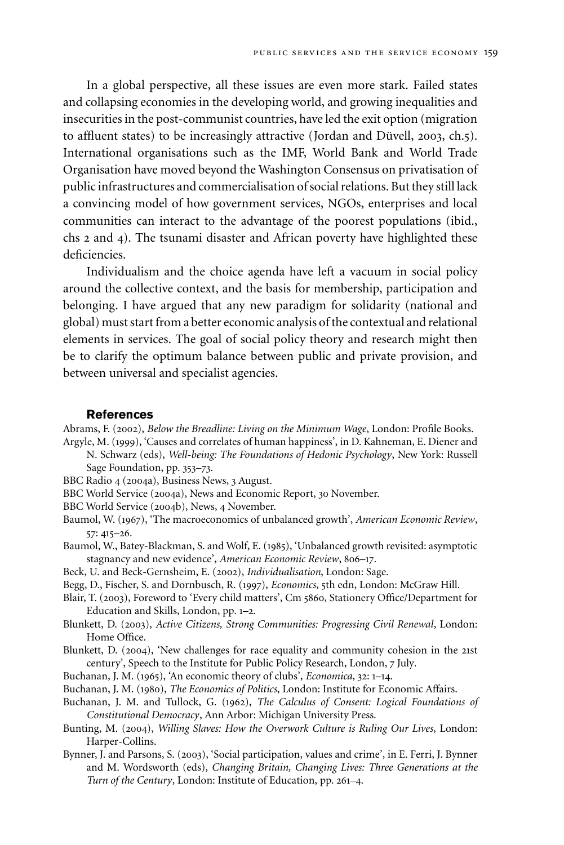In a global perspective, all these issues are even more stark. Failed states and collapsing economies in the developing world, and growing inequalities and insecurities in the post-communist countries, have led the exit option (migration to affluent states) to be increasingly attractive (Jordan and Düvell, 2003, ch.5). International organisations such as the IMF, World Bank and World Trade Organisation have moved beyond the Washington Consensus on privatisation of public infrastructures and commercialisation of social relations. But they still lack a convincing model of how government services, NGOs, enterprises and local communities can interact to the advantage of the poorest populations (ibid., chs 2 and 4). The tsunami disaster and African poverty have highlighted these deficiencies.

Individualism and the choice agenda have left a vacuum in social policy around the collective context, and the basis for membership, participation and belonging. I have argued that any new paradigm for solidarity (national and global) must start from a better economic analysis of the contextual and relational elements in services. The goal of social policy theory and research might then be to clarify the optimum balance between public and private provision, and between universal and specialist agencies.

#### **References**

Abrams, F. (2002), *Below the Breadline: Living on the Minimum Wage*, London: Profile Books. Argyle, M. (1999), 'Causes and correlates of human happiness', in D. Kahneman, E. Diener and

N. Schwarz (eds), *Well-being: The Foundations of Hedonic Psychology*, New York: Russell Sage Foundation, pp. 353–73.

BBC Radio 4 (2004a), Business News, 3 August.

BBC World Service (2004a), News and Economic Report, 30 November.

BBC World Service (2004b), News, 4 November.

Baumol, W. (1967), 'The macroeconomics of unbalanced growth', *American Economic Review*, 57: 415–26.

Baumol, W., Batey-Blackman, S. and Wolf, E. (1985), 'Unbalanced growth revisited: asymptotic stagnancy and new evidence', *American Economic Review*, 806–17.

- Beck, U. and Beck-Gernsheim, E. (2002), *Individualisation*, London: Sage.
- Begg, D., Fischer, S. and Dornbusch, R. (1997), *Economics*, 5th edn, London: McGraw Hill.
- Blair, T. (2003), Foreword to 'Every child matters', Cm 5860, Stationery Office/Department for Education and Skills, London, pp. 1–2.
- Blunkett, D. (2003), *Active Citizens, Strong Communities: Progressing Civil Renewal*, London: Home Office.
- Blunkett, D. (2004), 'New challenges for race equality and community cohesion in the 21st century', Speech to the Institute for Public Policy Research, London, 7 July.
- Buchanan, J. M. (1965), 'An economic theory of clubs', *Economica*, 32: 1–14.
- Buchanan, J. M. (1980), *The Economics of Politics*, London: Institute for Economic Affairs.
- Buchanan, J. M. and Tullock, G. (1962), *The Calculus of Consent: Logical Foundations of Constitutional Democracy*, Ann Arbor: Michigan University Press.
- Bunting, M. (2004), *Willing Slaves: How the Overwork Culture is Ruling Our Lives*, London: Harper-Collins.
- Bynner, J. and Parsons, S. (2003), 'Social participation, values and crime', in E. Ferri, J. Bynner and M. Wordsworth (eds), *Changing Britain, Changing Lives: Three Generations at the Turn of the Century*, London: Institute of Education, pp. 261–4.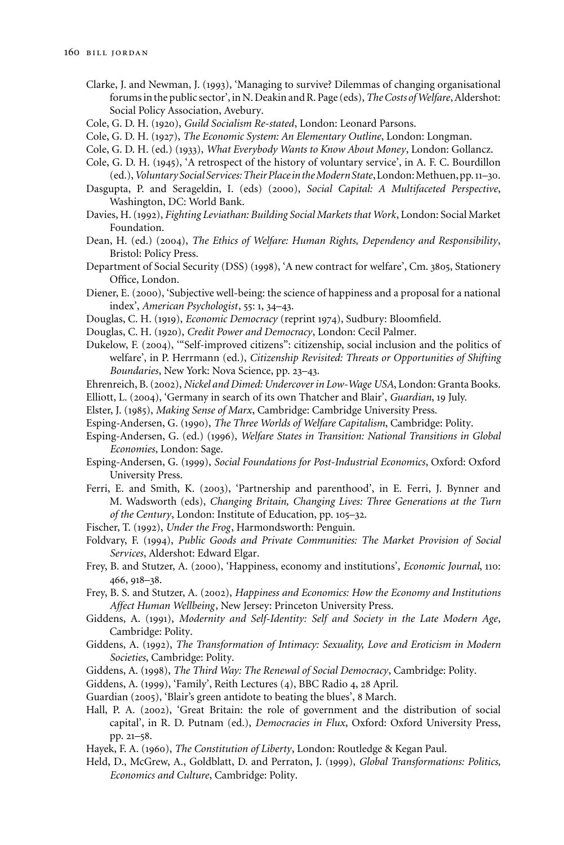- Clarke, J. and Newman, J. (1993), 'Managing to survive? Dilemmas of changing organisational forums in the public sector', in N. Deakin and R. Page (eds),*The Costs ofWelfare*, Aldershot: Social Policy Association, Avebury.
- Cole, G. D. H. (1920), *Guild Socialism Re-stated*, London: Leonard Parsons.
- Cole, G. D. H. (1927), *The Economic System: An Elementary Outline*, London: Longman.
- Cole, G. D. H. (ed.) (1933), *What Everybody Wants to Know About Money*, London: Gollancz.
- Cole, G. D. H. (1945), 'A retrospect of the history of voluntary service', in A. F. C. Bourdillon (ed.), Voluntary Social Services: Their Place in the Modern State, London: Methuen, pp. 11–30.
- Dasgupta, P. and Serageldin, I. (eds) (2000), *Social Capital: A Multifaceted Perspective*, Washington, DC: World Bank.
- Davies, H. (1992), *Fighting Leviathan: Building Social Markets that Work*, London: Social Market Foundation.
- Dean, H. (ed.) (2004), *The Ethics of Welfare: Human Rights, Dependency and Responsibility*, Bristol: Policy Press.
- Department of Social Security (DSS) (1998), 'A new contract for welfare', Cm. 3805, Stationery Office, London.
- Diener, E. (2000), 'Subjective well-being: the science of happiness and a proposal for a national index', *American Psychologist*, 55: 1, 34–43.
- Douglas, C. H. (1919), *Economic Democracy* (reprint 1974), Sudbury: Bloomfield.
- Douglas, C. H. (1920), *Credit Power and Democracy*, London: Cecil Palmer.
- Dukelow, F. (2004), '"Self-improved citizens": citizenship, social inclusion and the politics of welfare', in P. Herrmann (ed.), *Citizenship Revisited: Threats or Opportunities of Shifting Boundaries*, New York: Nova Science, pp. 23–43.
- Ehrenreich, B. (2002), *Nickel and Dimed: Undercover in Low-Wage USA*, London: Granta Books.
- Elliott, L. (2004), 'Germany in search of its own Thatcher and Blair', *Guardian*, 19 July.
- Elster, J. (1985), *Making Sense of Marx*, Cambridge: Cambridge University Press.
- Esping-Andersen, G. (1990), *The Three Worlds of Welfare Capitalism*, Cambridge: Polity.
- Esping-Andersen, G. (ed.) (1996), *Welfare States in Transition: National Transitions in Global Economies*, London: Sage.
- Esping-Andersen, G. (1999), *Social Foundations for Post-Industrial Economics*, Oxford: Oxford University Press.
- Ferri, E. and Smith, K. (2003), 'Partnership and parenthood', in E. Ferri, J. Bynner and M. Wadsworth (eds), *Changing Britain, Changing Lives: Three Generations at the Turn of the Century*, London: Institute of Education, pp. 105–32.
- Fischer, T. (1992), *Under the Frog*, Harmondsworth: Penguin.
- Foldvary, F. (1994), *Public Goods and Private Communities: The Market Provision of Social Services*, Aldershot: Edward Elgar.
- Frey, B. and Stutzer, A. (2000), 'Happiness, economy and institutions', *Economic Journal*, 110: 466, 918–38.
- Frey, B. S. and Stutzer, A. (2002), *Happiness and Economics: How the Economy and Institutions Affect Human Wellbeing*, New Jersey: Princeton University Press.
- Giddens, A. (1991), *Modernity and Self-Identity: Self and Society in the Late Modern Age*, Cambridge: Polity.
- Giddens, A. (1992), *The Transformation of Intimacy: Sexuality, Love and Eroticism in Modern Societies*, Cambridge: Polity.
- Giddens, A. (1998), *The Third Way: The Renewal of Social Democracy*, Cambridge: Polity.
- Giddens, A. (1999), 'Family', Reith Lectures (4), BBC Radio 4, 28 April.
- Guardian (2005), 'Blair's green antidote to beating the blues', 8 March.
- Hall, P. A. (2002), 'Great Britain: the role of government and the distribution of social capital', in R. D. Putnam (ed.), *Democracies in Flux*, Oxford: Oxford University Press, pp. 21–58.
- Hayek, F. A. (1960), *The Constitution of Liberty*, London: Routledge & Kegan Paul.
- Held, D., McGrew, A., Goldblatt, D. and Perraton, J. (1999), *Global Transformations: Politics, Economics and Culture*, Cambridge: Polity.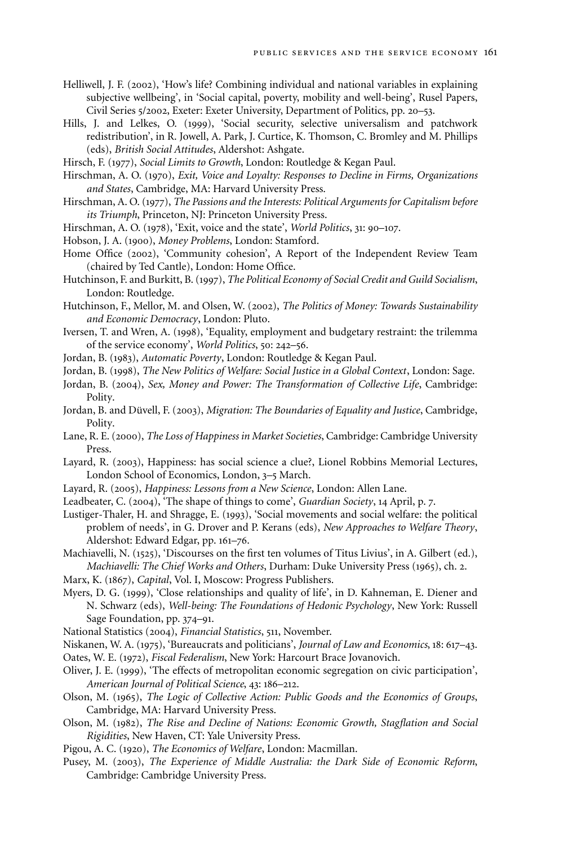- Helliwell, J. F. (2002), 'How's life? Combining individual and national variables in explaining subjective wellbeing', in 'Social capital, poverty, mobility and well-being', Rusel Papers, Civil Series 5/2002, Exeter: Exeter University, Department of Politics, pp. 20–53.
- Hills, J. and Lelkes, O. (1999), 'Social security, selective universalism and patchwork redistribution', in R. Jowell, A. Park, J. Curtice, K. Thomson, C. Bromley and M. Phillips (eds), *British Social Attitudes*, Aldershot: Ashgate.
- Hirsch, F. (1977), *Social Limits to Growth*, London: Routledge & Kegan Paul.
- Hirschman, A. O. (1970), *Exit, Voice and Loyalty: Responses to Decline in Firms, Organizations and States*, Cambridge, MA: Harvard University Press.
- Hirschman, A. O. (1977), *The Passions and the Interests: Political Arguments for Capitalism before its Triumph*, Princeton, NJ: Princeton University Press.
- Hirschman, A. O. (1978), 'Exit, voice and the state', *World Politics*, 31: 90–107.
- Hobson, J. A. (1900), *Money Problems*, London: Stamford.
- Home Office (2002), 'Community cohesion', A Report of the Independent Review Team (chaired by Ted Cantle), London: Home Office.
- Hutchinson, F. and Burkitt, B. (1997), *The Political Economy of Social Credit and Guild Socialism*, London: Routledge.
- Hutchinson, F., Mellor, M. and Olsen, W. (2002), *The Politics of Money: Towards Sustainability and Economic Democracy*, London: Pluto.
- Iversen, T. and Wren, A. (1998), 'Equality, employment and budgetary restraint: the trilemma of the service economy', *World Politics*, 50: 242–56.
- Jordan, B. (1983), *Automatic Poverty*, London: Routledge & Kegan Paul.
- Jordan, B. (1998), *The New Politics of Welfare: Social Justice in a Global Context*, London: Sage.
- Jordan, B. (2004), *Sex, Money and Power: The Transformation of Collective Life*, Cambridge: Polity.
- Jordan, B. and Düvell, F. (2003), *Migration: The Boundaries of Equality and Justice*, Cambridge, Polity.
- Lane, R. E. (2000), *The Loss of Happiness in Market Societies*, Cambridge: Cambridge University Press.
- Layard, R. (2003), Happiness: has social science a clue?, Lionel Robbins Memorial Lectures, London School of Economics, London, 3–5 March.
- Layard, R. (2005), *Happiness: Lessons from a New Science*, London: Allen Lane.
- Leadbeater, C. (2004), 'The shape of things to come', *Guardian Society*, 14 April, p. 7.
- Lustiger-Thaler, H. and Shragge, E. (1993), 'Social movements and social welfare: the political problem of needs', in G. Drover and P. Kerans (eds), *New Approaches to Welfare Theory*, Aldershot: Edward Edgar, pp. 161–76.
- Machiavelli, N. (1525), 'Discourses on the first ten volumes of Titus Livius', in A. Gilbert (ed.), *Machiavelli: The Chief Works and Others*, Durham: Duke University Press (1965), ch. 2.
- Marx, K. (1867), *Capital*, Vol. I, Moscow: Progress Publishers.
- Myers, D. G. (1999), 'Close relationships and quality of life', in D. Kahneman, E. Diener and N. Schwarz (eds), *Well-being: The Foundations of Hedonic Psychology*, New York: Russell Sage Foundation, pp. 374–91.
- National Statistics (2004), *Financial Statistics*, 511, November.
- Niskanen, W. A. (1975), 'Bureaucrats and politicians', *Journal of Law and Economics*, 18: 617–43. Oates, W. E. (1972), *Fiscal Federalism*, New York: Harcourt Brace Jovanovich.
- Oliver, J. E. (1999), 'The effects of metropolitan economic segregation on civic participation', *American Journal of Political Science*, 43: 186–212.
- Olson, M. (1965), *The Logic of Collective Action: Public Goods and the Economics of Groups*, Cambridge, MA: Harvard University Press.
- Olson, M. (1982), *The Rise and Decline of Nations: Economic Growth, Stagflation and Social Rigidities*, New Haven, CT: Yale University Press.
- Pigou, A. C. (1920), *The Economics of Welfare*, London: Macmillan.
- Pusey, M. (2003), *The Experience of Middle Australia: the Dark Side of Economic Reform*, Cambridge: Cambridge University Press.